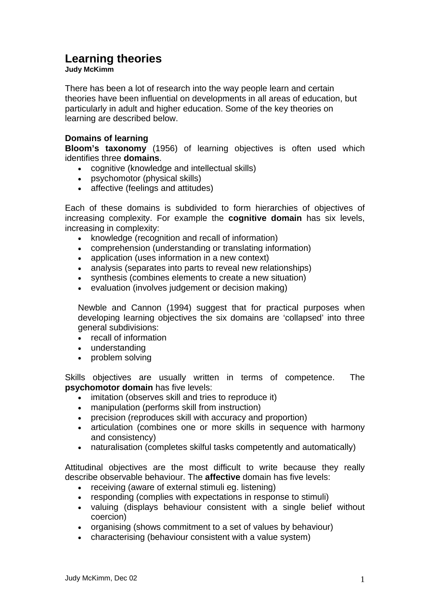# **Learning theories**

#### **Judy McKimm**

There has been a lot of research into the way people learn and certain theories have been influential on developments in all areas of education, but particularly in adult and higher education. Some of the key theories on learning are described below.

# **Domains of learning**

**Bloom's taxonomy** (1956) of learning objectives is often used which identifies three **domains**.

- cognitive (knowledge and intellectual skills)
- psychomotor (physical skills)
- affective (feelings and attitudes)

Each of these domains is subdivided to form hierarchies of objectives of increasing complexity. For example the **cognitive domain** has six levels, increasing in complexity:

- knowledge (recognition and recall of information)
- comprehension (understanding or translating information)
- application (uses information in a new context)
- analysis (separates into parts to reveal new relationships)
- synthesis (combines elements to create a new situation)
- evaluation (involves judgement or decision making)

Newble and Cannon (1994) suggest that for practical purposes when developing learning objectives the six domains are 'collapsed' into three general subdivisions:

- recall of information
- understanding
- problem solving

Skills objectives are usually written in terms of competence. The **psychomotor domain** has five levels:

- imitation (observes skill and tries to reproduce it)
- manipulation (performs skill from instruction)
- precision (reproduces skill with accuracy and proportion)
- articulation (combines one or more skills in sequence with harmony and consistency)
- naturalisation (completes skilful tasks competently and automatically)

Attitudinal objectives are the most difficult to write because they really describe observable behaviour. The **affective** domain has five levels:

- receiving (aware of external stimuli eg. listening)
- responding (complies with expectations in response to stimuli)
- valuing (displays behaviour consistent with a single belief without coercion)
- organising (shows commitment to a set of values by behaviour)
- characterising (behaviour consistent with a value system)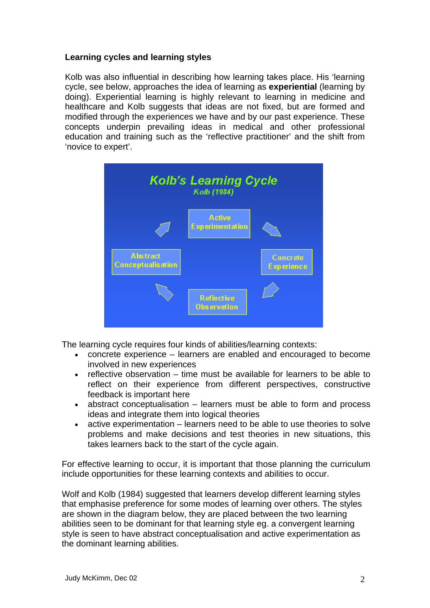## **Learning cycles and learning styles**

Kolb was also influential in describing how learning takes place. His 'learning cycle, see below, approaches the idea of learning as **experiential** (learning by doing). Experiential learning is highly relevant to learning in medicine and healthcare and Kolb suggests that ideas are not fixed, but are formed and modified through the experiences we have and by our past experience. These concepts underpin prevailing ideas in medical and other professional education and training such as the 'reflective practitioner' and the shift from 'novice to expert'.



The learning cycle requires four kinds of abilities/learning contexts:

- concrete experience learners are enabled and encouraged to become involved in new experiences
- $\bullet$  reflective observation time must be available for learners to be able to reflect on their experience from different perspectives, constructive feedback is important here
- $\bullet$  abstract conceptualisation  $-$  learners must be able to form and process ideas and integrate them into logical theories
- $\bullet$  active experimentation learners need to be able to use theories to solve problems and make decisions and test theories in new situations, this takes learners back to the start of the cycle again.

For effective learning to occur, it is important that those planning the curriculum include opportunities for these learning contexts and abilities to occur.

Wolf and Kolb (1984) suggested that learners develop different learning styles that emphasise preference for some modes of learning over others. The styles are shown in the diagram below, they are placed between the two learning abilities seen to be dominant for that learning style eg. a convergent learning style is seen to have abstract conceptualisation and active experimentation as the dominant learning abilities.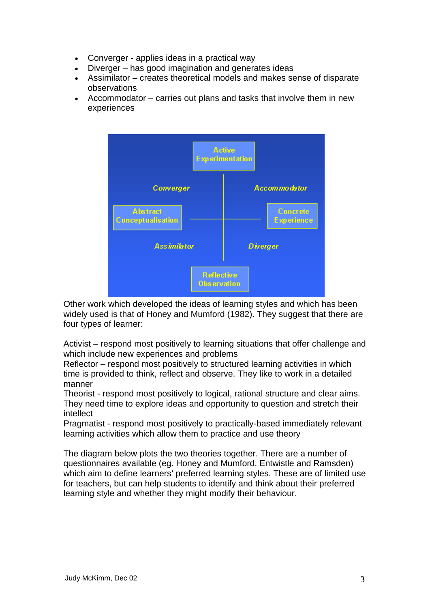- Converger applies ideas in a practical way
- Diverger has good imagination and generates ideas
- Assimilator creates theoretical models and makes sense of disparate observations
- Accommodator  $-$  carries out plans and tasks that involve them in new experiences



Other work which developed the ideas of learning styles and which has been widely used is that of Honey and Mumford (1982). They suggest that there are four types of learner:

Activist – respond most positively to learning situations that offer challenge and which include new experiences and problems

Reflector – respond most positively to structured learning activities in which time is provided to think, reflect and observe. They like to work in a detailed manner

Theorist - respond most positively to logical, rational structure and clear aims. They need time to explore ideas and opportunity to question and stretch their intellect

Pragmatist - respond most positively to practically-based immediately relevant learning activities which allow them to practice and use theory

The diagram below plots the two theories together. There are a number of ) questionnaires available (eg. Honey and Mumford, Entwistle and Ramsden which aim to define learners' preferred learning styles. These are of limited use for teachers, but can help students to identify and think about their preferred learning style and whether they might modify their behaviour.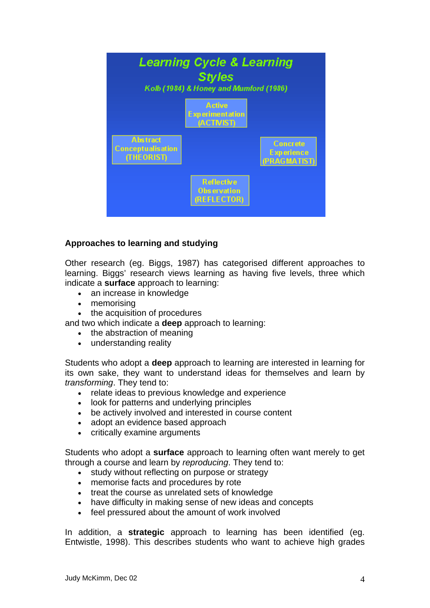

## **Approaches to learning and studying**

Other research (eg. Biggs, 1987) has categorised different approaches to learning. Biggs' research views learning as having five levels, three which indicate a **surface** approach to learning:

- an increase in knowledge
- memorising
- the acquisition of procedures

and two which indicate a **deep** approach to learning:

- the abstraction of meaning
- understanding reality

Students who adopt a **deep** approach to learning are interested in learning for its own sake, they want to understand ideas for themselves and learn by *transforming*. They tend to:

- relate ideas to previous knowledge and experience
- look for patterns and underlying principles
- be actively involved and interested in course content
- adopt an evidence based approach
- critically examine arguments

Students who adopt a **surface** approach to learning often want merely to get through a course and learn by *reproducing*. They tend to:

- study without reflecting on purpose or strategy
- memorise facts and procedures by rote
- treat the course as unrelated sets of knowledge
- have difficulty in making sense of new ideas and concepts
- feel pressured about the amount of work involved

In addition, a **strategic** approach to learning has been identified (eg. Entwistle, 1998). This describes students who want to achieve high grades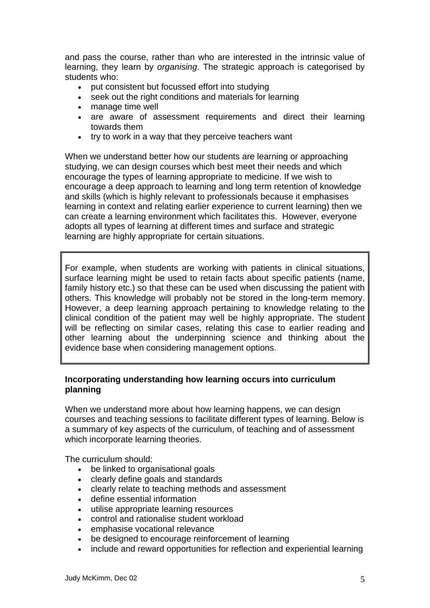and pass the course, rather than who are interested in the intrinsic value of learning, they learn by *organising*. The strategic approach is categorised by students who:

- put consistent but focussed effort into studying
- seek out the right conditions and materials for learning
- manage time well
- are aware of assessment requirements and direct their learning towards them
- try to work in a way that they perceive teachers want

When we understand better how our students are learning or approaching studying, we can design courses which best meet their needs and which encourage the types of learning appropriate to medicine. If we wish to encourage a deep approach to learning and long term retention of knowledge and skills (which is highly relevant to professionals because it emphasises learning in context and relating earlier experience to current learning) then we can create a learning environment which facilitates this. However, everyone adopts all types of learning at different times and surface and strategic learning are highly appropriate for certain situations.

For example, when students are working with patients in clinical situations, surface learning might be used to retain facts about specific patients (name, family history etc.) so that these can be used when discussing the patient with others. This knowledge will probably not be stored in the long-term memory. However, a deep learning approach pertaining to knowledge relating to the clinical condition of the patient may well be highly appropriate. The student will be reflecting on similar cases, relating this case to earlier reading and other learning about the underpinning science and thinking about the evidence base when considering management options.

## **Incorporating understanding how learning occurs into curriculum planning**

When we understand more about how learning happens, we can design courses and teaching sessions to facilitate different types of learning. Below is a summary of key aspects of the curriculum, of teaching and of assessment which incorporate learning theories.

The curriculum should:

- be linked to organisational goals
- clearly define goals and standards
- clearly relate to teaching methods and assessment
- define essential information
- utilise appropriate learning resources
- control and rationalise student workload
- emphasise vocational relevance
- be designed to encourage reinforcement of learning
- include and reward opportunities for reflection and experiential learning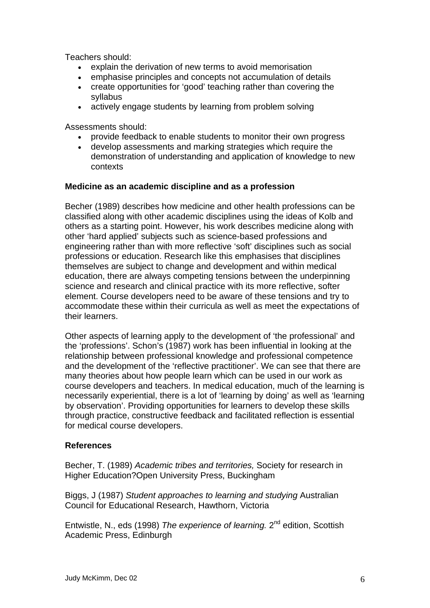Tea chers should:

- explain the derivation of new terms to avoid memorisation
- emphasise principles and concepts not accumulation of details
- create opportunities for 'good' teaching rather than covering the syllabus
- actively engage students by learning from problem solving

Assessments should:

- provide feedback to enable students to monitor their own progress
- demonstration of understanding and application of knowledge to new • develop assessments and marking strategies which require the contexts

#### **Medicine as an academic discipline and as a profession**

Becher (1989) describes how medicine and other health professions can be education, there are always competing tensions between the underpinning accommodate these within their curricula as well as meet the expectations of classified along with other academic disciplines using the ideas of Kolb and others as a starting point. However, his work describes medicine along with other 'hard applied' subjects such as science-based professions and engineering rather than with more reflective 'soft' disciplines such as social professions or education. Research like this emphasises that disciplines themselves are subject to change and development and within medical science and research and clinical practice with its more reflective, softer element. Course developers need to be aware of these tensions and try to their learners.

Other aspects of learning apply to the development of 'the professional' and the 'professions'. Schon's (1987) work has been influential in looking at the relationship between professional knowledge and professional competence and the development of the 'reflective practitioner'. We can see that there are many theories about how people learn which can be used in our work as course developers and teachers. In medical education, much of the learning is necessarily experiential, there is a lot of 'learning by doing' as well as 'learning by observation'. Providing opportunities for learners to develop these skills through practice, constructive feedback and facilitated reflection is essential for medical course developers.

## **References**

Becher, T. (1989) Academic tribes and territories, Society for research in Higher Education?Open University Press, Buckingham

Biggs, J (1987) Student approaches to learning and studying Australian Council for Educational Research, Hawthorn, Victoria

Entwistle, N., eds (1998) The experience of learning. 2<sup>nd</sup> edition, Scottish Academic Press, Edinburgh